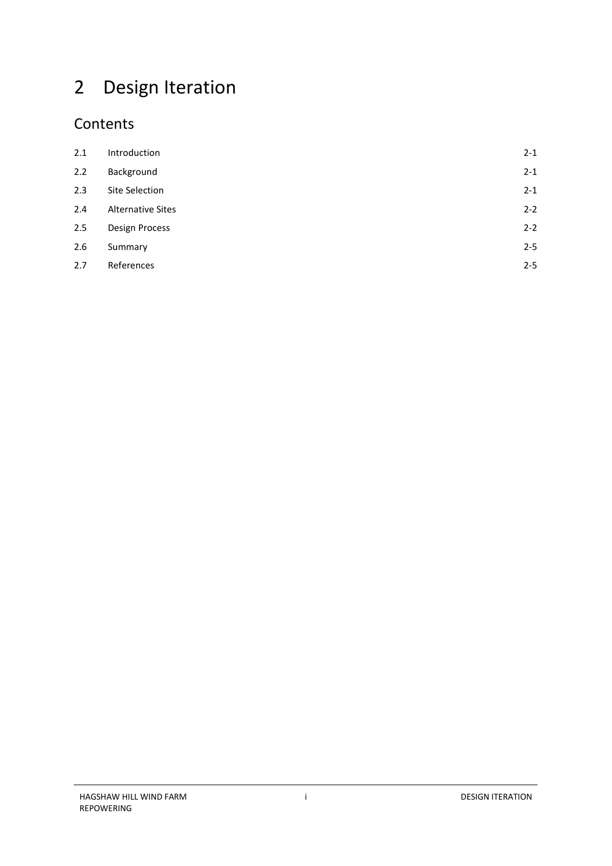# 2 Design Iteration

## **Contents**

| 2.1 | Introduction             | $2 - 1$ |
|-----|--------------------------|---------|
| 2.2 | Background               | $2 - 1$ |
| 2.3 | Site Selection           | $2 - 1$ |
| 2.4 | <b>Alternative Sites</b> | $2 - 2$ |
| 2.5 | <b>Design Process</b>    | $2 - 2$ |
| 2.6 | Summary                  | $2 - 5$ |
| 2.7 | References               | $2 - 5$ |
|     |                          |         |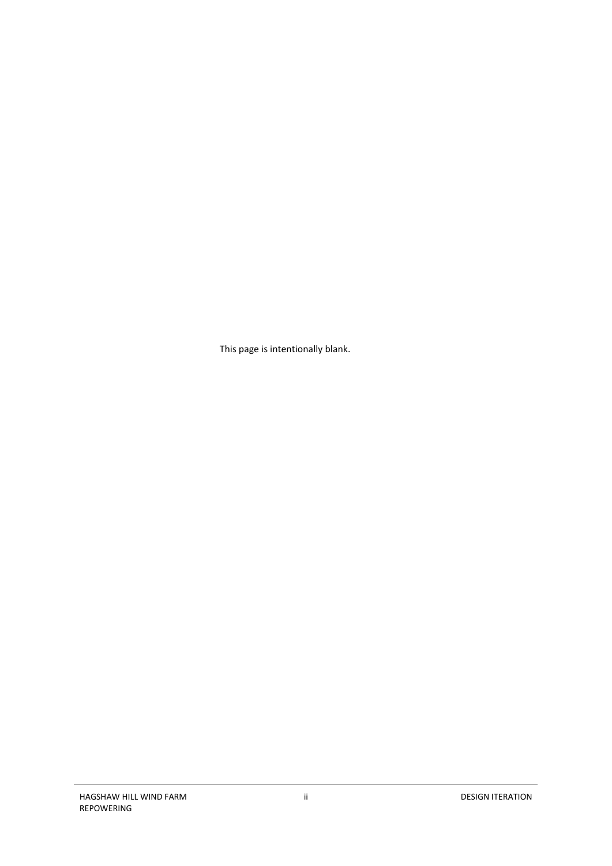This page is intentionally blank.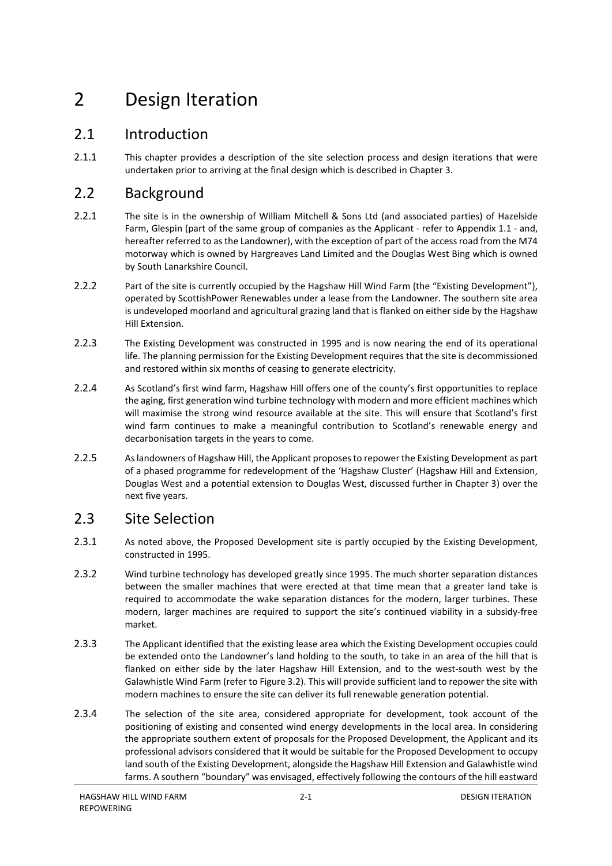## 2 Design Iteration

## <span id="page-2-0"></span>2.1 Introduction

2.1.1 This chapter provides a description of the site selection process and design iterations that were undertaken prior to arriving at the final design which is described in Chapter 3.

## <span id="page-2-1"></span>2.2 Background

- 2.2.1 The site is in the ownership of William Mitchell & Sons Ltd (and associated parties) of Hazelside Farm, Glespin (part of the same group of companies as the Applicant - refer to Appendix 1.1 - and, hereafter referred to as the Landowner), with the exception of part of the access road from the M74 motorway which is owned by Hargreaves Land Limited and the Douglas West Bing which is owned by South Lanarkshire Council.
- 2.2.2 Part of the site is currently occupied by the Hagshaw Hill Wind Farm (the "Existing Development"), operated by ScottishPower Renewables under a lease from the Landowner. The southern site area is undeveloped moorland and agricultural grazing land that is flanked on either side by the Hagshaw Hill Extension.
- 2.2.3 The Existing Development was constructed in 1995 and is now nearing the end of its operational life. The planning permission for the Existing Development requires that the site is decommissioned and restored within six months of ceasing to generate electricity.
- 2.2.4 As Scotland's first wind farm, Hagshaw Hill offers one of the county's first opportunities to replace the aging, first generation wind turbine technology with modern and more efficient machines which will maximise the strong wind resource available at the site. This will ensure that Scotland's first wind farm continues to make a meaningful contribution to Scotland's renewable energy and decarbonisation targets in the years to come.
- 2.2.5 As landowners of Hagshaw Hill, the Applicant proposes to repower the Existing Development as part of a phased programme for redevelopment of the 'Hagshaw Cluster' (Hagshaw Hill and Extension, Douglas West and a potential extension to Douglas West, discussed further in Chapter 3) over the next five years.

## <span id="page-2-2"></span>2.3 Site Selection

- 2.3.1 As noted above, the Proposed Development site is partly occupied by the Existing Development, constructed in 1995.
- 2.3.2 Wind turbine technology has developed greatly since 1995. The much shorter separation distances between the smaller machines that were erected at that time mean that a greater land take is required to accommodate the wake separation distances for the modern, larger turbines. These modern, larger machines are required to support the site's continued viability in a subsidy-free market.
- 2.3.3 The Applicant identified that the existing lease area which the Existing Development occupies could be extended onto the Landowner's land holding to the south, to take in an area of the hill that is flanked on either side by the later Hagshaw Hill Extension, and to the west-south west by the Galawhistle Wind Farm (refer to Figure 3.2). This will provide sufficient land to repower the site with modern machines to ensure the site can deliver its full renewable generation potential.
- 2.3.4 The selection of the site area, considered appropriate for development, took account of the positioning of existing and consented wind energy developments in the local area. In considering the appropriate southern extent of proposals for the Proposed Development, the Applicant and its professional advisors considered that it would be suitable for the Proposed Development to occupy land south of the Existing Development, alongside the Hagshaw Hill Extension and Galawhistle wind farms. A southern "boundary" was envisaged, effectively following the contours of the hill eastward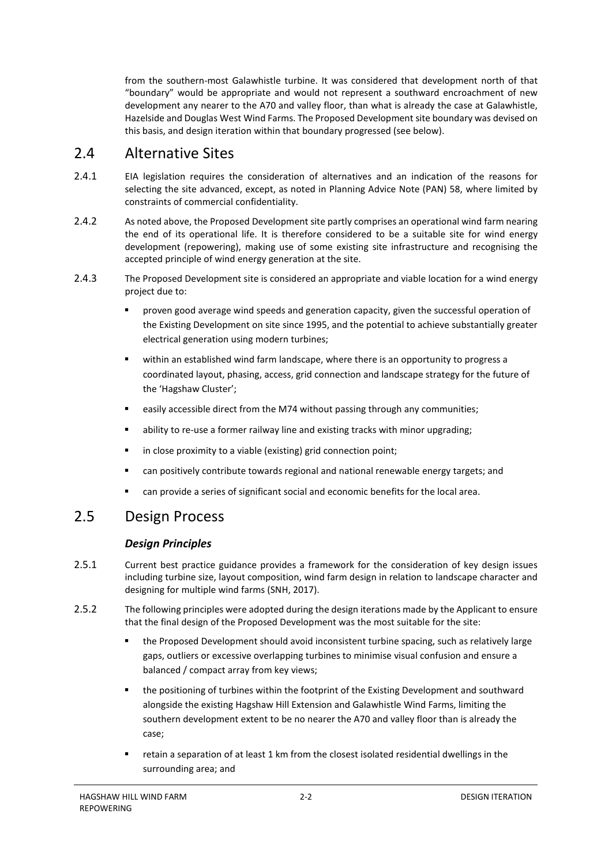from the southern-most Galawhistle turbine. It was considered that development north of that "boundary" would be appropriate and would not represent a southward encroachment of new development any nearer to the A70 and valley floor, than what is already the case at Galawhistle, Hazelside and Douglas West Wind Farms. The Proposed Development site boundary was devised on this basis, and design iteration within that boundary progressed (see below).

## <span id="page-3-0"></span>2.4 Alternative Sites

- 2.4.1 EIA legislation requires the consideration of alternatives and an indication of the reasons for selecting the site advanced, except, as noted in Planning Advice Note (PAN) 58, where limited by constraints of commercial confidentiality.
- 2.4.2 As noted above, the Proposed Development site partly comprises an operational wind farm nearing the end of its operational life. It is therefore considered to be a suitable site for wind energy development (repowering), making use of some existing site infrastructure and recognising the accepted principle of wind energy generation at the site.
- 2.4.3 The Proposed Development site is considered an appropriate and viable location for a wind energy project due to:
	- proven good average wind speeds and generation capacity, given the successful operation of the Existing Development on site since 1995, and the potential to achieve substantially greater electrical generation using modern turbines;
	- within an established wind farm landscape, where there is an opportunity to progress a coordinated layout, phasing, access, grid connection and landscape strategy for the future of the 'Hagshaw Cluster';
	- easily accessible direct from the M74 without passing through any communities;
	- ability to re-use a former railway line and existing tracks with minor upgrading;
	- in close proximity to a viable (existing) grid connection point;
	- can positively contribute towards regional and national renewable energy targets; and
	- can provide a series of significant social and economic benefits for the local area.

## <span id="page-3-1"></span>2.5 Design Process

#### *Design Principles*

- 2.5.1 Current best practice guidance provides a framework for the consideration of key design issues including turbine size, layout composition, wind farm design in relation to landscape character and designing for multiple wind farms (SNH, 2017).
- 2.5.2 The following principles were adopted during the design iterations made by the Applicant to ensure that the final design of the Proposed Development was the most suitable for the site:
	- the Proposed Development should avoid inconsistent turbine spacing, such as relatively large gaps, outliers or excessive overlapping turbines to minimise visual confusion and ensure a balanced / compact array from key views;
	- the positioning of turbines within the footprint of the Existing Development and southward alongside the existing Hagshaw Hill Extension and Galawhistle Wind Farms, limiting the southern development extent to be no nearer the A70 and valley floor than is already the case;
	- retain a separation of at least 1 km from the closest isolated residential dwellings in the surrounding area; and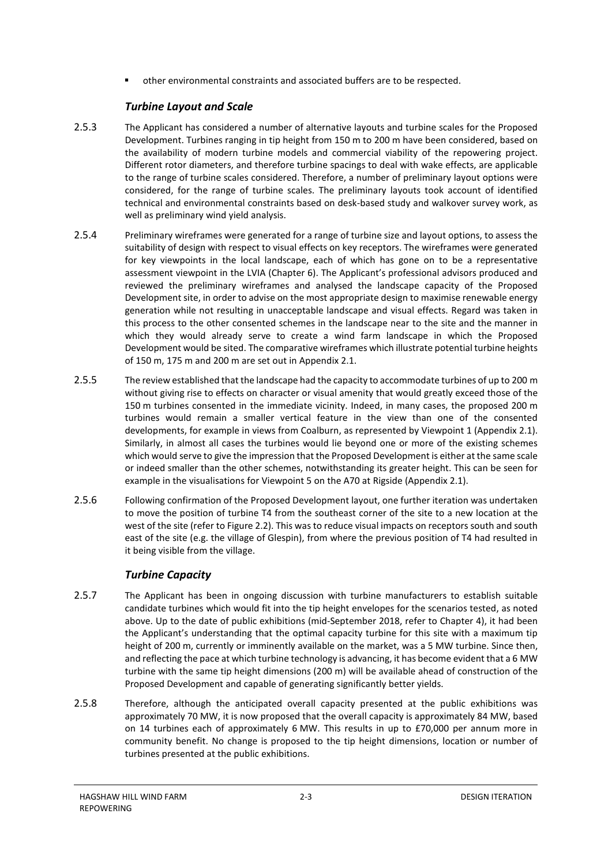other environmental constraints and associated buffers are to be respected.

#### *Turbine Layout and Scale*

- 2.5.3 The Applicant has considered a number of alternative layouts and turbine scales for the Proposed Development. Turbines ranging in tip height from 150 m to 200 m have been considered, based on the availability of modern turbine models and commercial viability of the repowering project. Different rotor diameters, and therefore turbine spacings to deal with wake effects, are applicable to the range of turbine scales considered. Therefore, a number of preliminary layout options were considered, for the range of turbine scales. The preliminary layouts took account of identified technical and environmental constraints based on desk-based study and walkover survey work, as well as preliminary wind yield analysis.
- 2.5.4 Preliminary wireframes were generated for a range of turbine size and layout options, to assess the suitability of design with respect to visual effects on key receptors. The wireframes were generated for key viewpoints in the local landscape, each of which has gone on to be a representative assessment viewpoint in the LVIA (Chapter 6). The Applicant's professional advisors produced and reviewed the preliminary wireframes and analysed the landscape capacity of the Proposed Development site, in order to advise on the most appropriate design to maximise renewable energy generation while not resulting in unacceptable landscape and visual effects. Regard was taken in this process to the other consented schemes in the landscape near to the site and the manner in which they would already serve to create a wind farm landscape in which the Proposed Development would be sited. The comparative wireframes which illustrate potential turbine heights of 150 m, 175 m and 200 m are set out in Appendix 2.1.
- 2.5.5 The review established that the landscape had the capacity to accommodate turbines of up to 200 m without giving rise to effects on character or visual amenity that would greatly exceed those of the 150 m turbines consented in the immediate vicinity. Indeed, in many cases, the proposed 200 m turbines would remain a smaller vertical feature in the view than one of the consented developments, for example in views from Coalburn, as represented by Viewpoint 1 (Appendix 2.1). Similarly, in almost all cases the turbines would lie beyond one or more of the existing schemes which would serve to give the impression that the Proposed Development is either at the same scale or indeed smaller than the other schemes, notwithstanding its greater height. This can be seen for example in the visualisations for Viewpoint 5 on the A70 at Rigside (Appendix 2.1).
- 2.5.6 Following confirmation of the Proposed Development layout, one further iteration was undertaken to move the position of turbine T4 from the southeast corner of the site to a new location at the west of the site (refer to Figure 2.2). This was to reduce visual impacts on receptors south and south east of the site (e.g. the village of Glespin), from where the previous position of T4 had resulted in it being visible from the village.

#### *Turbine Capacity*

- 2.5.7 The Applicant has been in ongoing discussion with turbine manufacturers to establish suitable candidate turbines which would fit into the tip height envelopes for the scenarios tested, as noted above. Up to the date of public exhibitions (mid-September 2018, refer to Chapter 4), it had been the Applicant's understanding that the optimal capacity turbine for this site with a maximum tip height of 200 m, currently or imminently available on the market, was a 5 MW turbine. Since then, and reflecting the pace at which turbine technology is advancing, it has become evident that a 6 MW turbine with the same tip height dimensions (200 m) will be available ahead of construction of the Proposed Development and capable of generating significantly better yields.
- 2.5.8 Therefore, although the anticipated overall capacity presented at the public exhibitions was approximately 70 MW, it is now proposed that the overall capacity is approximately 84 MW, based on 14 turbines each of approximately 6 MW. This results in up to £70,000 per annum more in community benefit. No change is proposed to the tip height dimensions, location or number of turbines presented at the public exhibitions.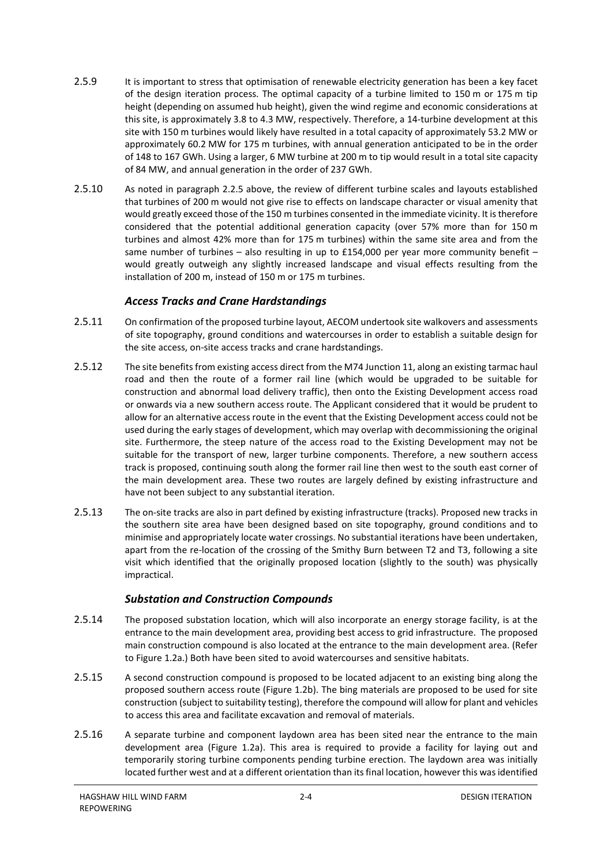- 2.5.9 It is important to stress that optimisation of renewable electricity generation has been a key facet of the design iteration process. The optimal capacity of a turbine limited to 150 m or 175 m tip height (depending on assumed hub height), given the wind regime and economic considerations at this site, is approximately 3.8 to 4.3 MW, respectively. Therefore, a 14-turbine development at this site with 150 m turbines would likely have resulted in a total capacity of approximately 53.2 MW or approximately 60.2 MW for 175 m turbines, with annual generation anticipated to be in the order of 148 to 167 GWh. Using a larger, 6 MW turbine at 200 m to tip would result in a total site capacity of 84 MW, and annual generation in the order of 237 GWh.
- 2.5.10 As noted in paragraph 2.2.5 above, the review of different turbine scales and layouts established that turbines of 200 m would not give rise to effects on landscape character or visual amenity that would greatly exceed those of the 150 m turbines consented in the immediate vicinity. It is therefore considered that the potential additional generation capacity (over 57% more than for 150 m turbines and almost 42% more than for 175 m turbines) within the same site area and from the same number of turbines – also resulting in up to £154,000 per year more community benefit – would greatly outweigh any slightly increased landscape and visual effects resulting from the installation of 200 m, instead of 150 m or 175 m turbines.

#### *Access Tracks and Crane Hardstandings*

- 2.5.11 On confirmation of the proposed turbine layout, AECOM undertook site walkovers and assessments of site topography, ground conditions and watercourses in order to establish a suitable design for the site access, on-site access tracks and crane hardstandings.
- 2.5.12 The site benefits from existing access direct from the M74 Junction 11, along an existing tarmac haul road and then the route of a former rail line (which would be upgraded to be suitable for construction and abnormal load delivery traffic), then onto the Existing Development access road or onwards via a new southern access route. The Applicant considered that it would be prudent to allow for an alternative access route in the event that the Existing Development access could not be used during the early stages of development, which may overlap with decommissioning the original site. Furthermore, the steep nature of the access road to the Existing Development may not be suitable for the transport of new, larger turbine components. Therefore, a new southern access track is proposed, continuing south along the former rail line then west to the south east corner of the main development area. These two routes are largely defined by existing infrastructure and have not been subject to any substantial iteration.
- 2.5.13 The on-site tracks are also in part defined by existing infrastructure (tracks). Proposed new tracks in the southern site area have been designed based on site topography, ground conditions and to minimise and appropriately locate water crossings. No substantial iterations have been undertaken, apart from the re-location of the crossing of the Smithy Burn between T2 and T3, following a site visit which identified that the originally proposed location (slightly to the south) was physically impractical.

#### *Substation and Construction Compounds*

- 2.5.14 The proposed substation location, which will also incorporate an energy storage facility, is at the entrance to the main development area, providing best access to grid infrastructure. The proposed main construction compound is also located at the entrance to the main development area. (Refer to Figure 1.2a.) Both have been sited to avoid watercourses and sensitive habitats.
- 2.5.15 A second construction compound is proposed to be located adjacent to an existing bing along the proposed southern access route (Figure 1.2b). The bing materials are proposed to be used for site construction (subject to suitability testing), therefore the compound will allow for plant and vehicles to access this area and facilitate excavation and removal of materials.
- 2.5.16 A separate turbine and component laydown area has been sited near the entrance to the main development area (Figure 1.2a). This area is required to provide a facility for laying out and temporarily storing turbine components pending turbine erection. The laydown area was initially located further west and at a different orientation than its final location, however this was identified